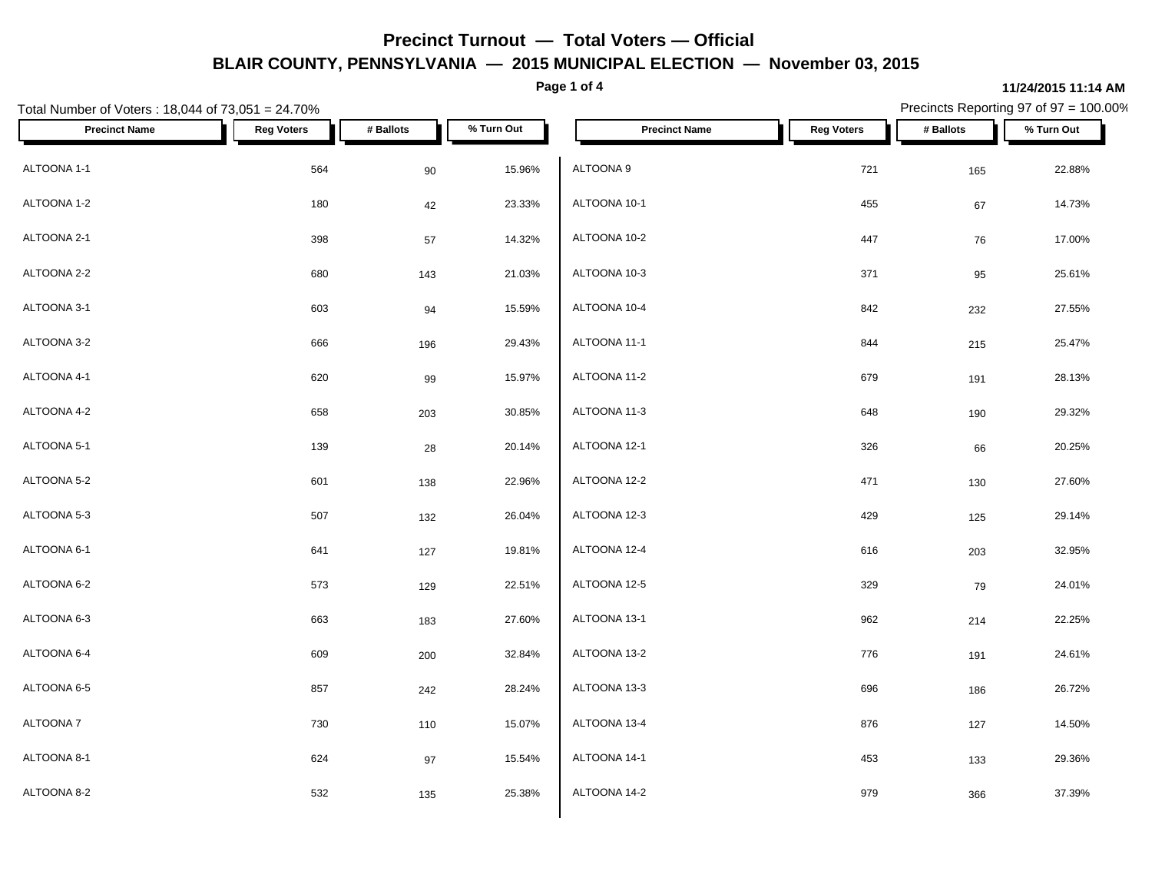**Page 1 of 4**

### Total Number of Voters : 18,044 of 73,051 = 24.70% Precincts Reporting 97 of 97 = 100.00% **Precinct Name Reg Voters # Ballots % Turn Out Precinct Name Reg Voters # Ballots % Turn Out** ALTOONA 1-1  $\begin{array}{ccccccc} 564 & 90 & 15.96\% & ALTOONA & 9 \end{array}$ ALTOONA 1-2 180 42 23.33% ALTOONA 2-1 398 57 14.32% ALTOONA 2-2 680 143 21.03%  $\,$  ALTOONA 3-1  $\,$  603  $\,$  94  $\,$  15.59%  $\,$  ALTOONA 10-4  $\,$ ALTOONA 3-2 666 196 29.43% ALTOONA 4-1 620 99 15.97% ALTOONA 4-2 658 203 30.85% ALTOONA 5-1 139 28 20.14% ALTOONA 5-2 601 138 22.96% ALTOONA 5-3 507 132 26.04% ALTOONA 6-1 641 127 19.81% ALTOONA 6-2 573 129 22.51% ALTOONA 6-3 663 183 27.60% ALTOONA 6-4 609 200 32.84%  $\textsf{ALTOONA 6-5} \quad \textcolor{red}{\textbf{857}} \quad \textcolor{red}{\textbf{857}} \quad \textcolor{red}{\textbf{242}} \quad \textcolor{red}{\textbf{28.24\%}} \quad \textcolor{red}{\textbf{ALTOONA 13-3}}$ ALTOONA 7 730 110 15.07% ALTOONA 8-1 624 97 15.54%  $ALTOONA 9$  22.88% ALTOONA 10-1 455 67 14.73% ALTOONA 10-2 447 76 17.00% ALTOONA 10-3 371 95 25.61% ALTOONA 10-4 232 27.55% ALTOONA 11-1 844 215 25.47% ALTOONA 11-2 679 191 28.13% ALTOONA 11-3 648 190 29.32%  $ALTOONA$  12-1  $326$   $66$   $20.25\%$ ALTOONA 12-2 471 130 27.60% ALTOONA 12-3 429 125 29.14% ALTOONA 12-4 616 203 32.95% ALTOONA 12-5 329 79 24.01% ALTOONA 13-1 962 214 22.25% ALTOONA 13-2 776 191 24.61% ALTOONA 13-3 696 186 26.72% ALTOONA 13-4 876 127 14.50% ALTOONA 14-1 453 133 29.36%

ALTOONA 14-2 37.39% 366 37.39%

ALTOONA 8-2 532 135 25.38%

**11/24/2015 11:14 AM**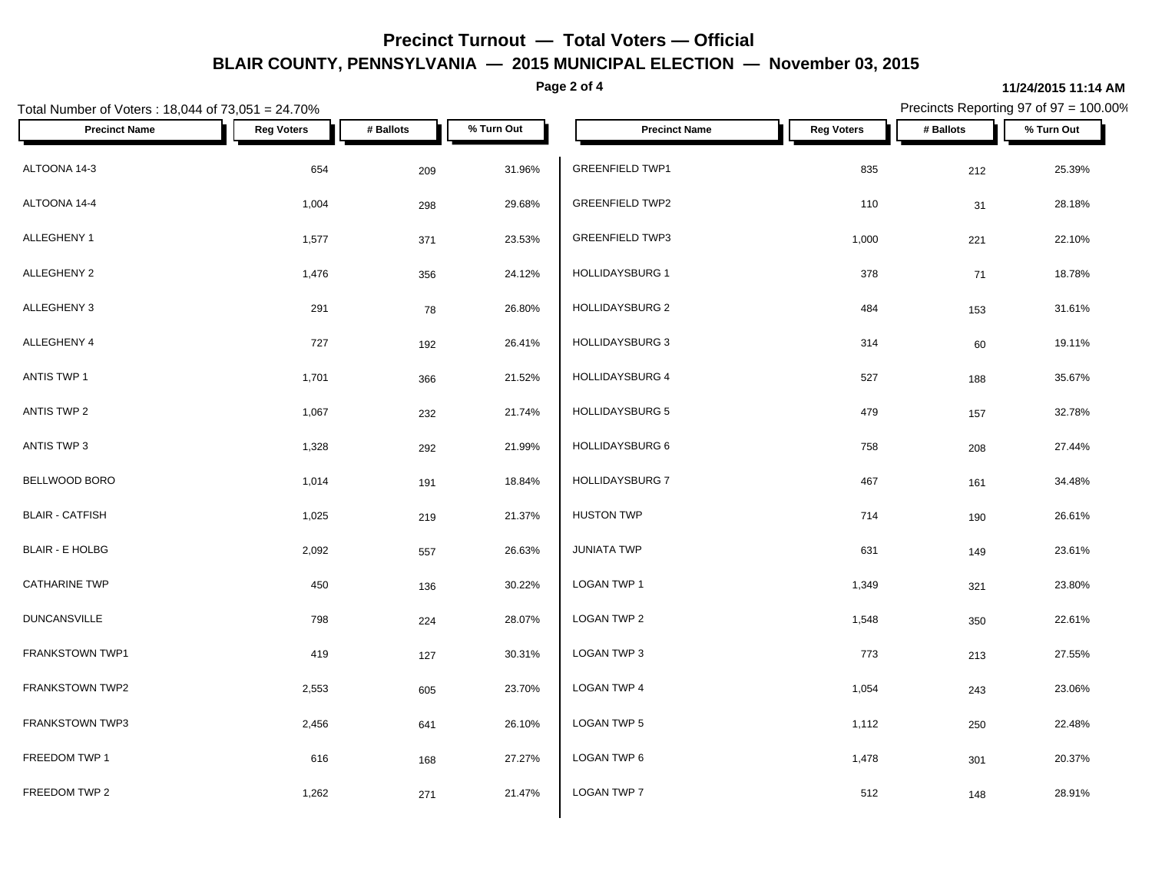**Page 2 of 4**

#### **11/24/2015 11:14 AM**

| Total Number of Voters: 18,044 of 73,051 = 24.70% |                   | Precincts Reporting 97 of 97 = 100.00% |            |                        |                   |           |            |
|---------------------------------------------------|-------------------|----------------------------------------|------------|------------------------|-------------------|-----------|------------|
| <b>Precinct Name</b>                              | <b>Reg Voters</b> | # Ballots                              | % Turn Out | <b>Precinct Name</b>   | <b>Reg Voters</b> | # Ballots | % Turn Out |
| ALTOONA 14-3                                      | 654               | 209                                    | 31.96%     | <b>GREENFIELD TWP1</b> | 835               | 212       | 25.39%     |
| ALTOONA 14-4                                      | 1,004             | 298                                    | 29.68%     | <b>GREENFIELD TWP2</b> | 110               | 31        | 28.18%     |
| ALLEGHENY 1                                       | 1,577             | 371                                    | 23.53%     | <b>GREENFIELD TWP3</b> | 1,000             | 221       | 22.10%     |
| ALLEGHENY 2                                       | 1,476             | 356                                    | 24.12%     | HOLLIDAYSBURG 1        | 378               | 71        | 18.78%     |
| ALLEGHENY 3                                       | 291               | 78                                     | 26.80%     | HOLLIDAYSBURG 2        | 484               | 153       | 31.61%     |
| ALLEGHENY 4                                       | 727               | 192                                    | 26.41%     | <b>HOLLIDAYSBURG 3</b> | 314               | 60        | 19.11%     |
| ANTIS TWP 1                                       | 1,701             | 366                                    | 21.52%     | HOLLIDAYSBURG 4        | 527               | 188       | 35.67%     |
| ANTIS TWP 2                                       | 1,067             | 232                                    | 21.74%     | <b>HOLLIDAYSBURG 5</b> | 479               | 157       | 32.78%     |
| ANTIS TWP 3                                       | 1,328             | 292                                    | 21.99%     | HOLLIDAYSBURG 6        | 758               | 208       | 27.44%     |
| BELLWOOD BORO                                     | 1,014             | 191                                    | 18.84%     | HOLLIDAYSBURG 7        | 467               | 161       | 34.48%     |
| <b>BLAIR - CATFISH</b>                            | 1,025             | 219                                    | 21.37%     | <b>HUSTON TWP</b>      | 714               | 190       | 26.61%     |
| <b>BLAIR - E HOLBG</b>                            | 2,092             | 557                                    | 26.63%     | <b>JUNIATA TWP</b>     | 631               | 149       | 23.61%     |
| <b>CATHARINE TWP</b>                              | 450               | 136                                    | 30.22%     | LOGAN TWP 1            | 1,349             | 321       | 23.80%     |
| <b>DUNCANSVILLE</b>                               | 798               | 224                                    | 28.07%     | LOGAN TWP 2            | 1,548             | 350       | 22.61%     |
| FRANKSTOWN TWP1                                   | 419               | 127                                    | 30.31%     | LOGAN TWP 3            | 773               | 213       | 27.55%     |
| <b>FRANKSTOWN TWP2</b>                            | 2,553             | 605                                    | 23.70%     | LOGAN TWP 4            | 1,054             | 243       | 23.06%     |
| FRANKSTOWN TWP3                                   | 2,456             | 641                                    | 26.10%     | LOGAN TWP 5            | 1,112             | 250       | 22.48%     |
| FREEDOM TWP 1                                     | 616               | 168                                    | 27.27%     | LOGAN TWP 6            | 1,478             | 301       | 20.37%     |
| FREEDOM TWP 2                                     | 1,262             | 271                                    | 21.47%     | <b>LOGAN TWP 7</b>     | 512               | 148       | 28.91%     |
|                                                   |                   |                                        |            |                        |                   |           |            |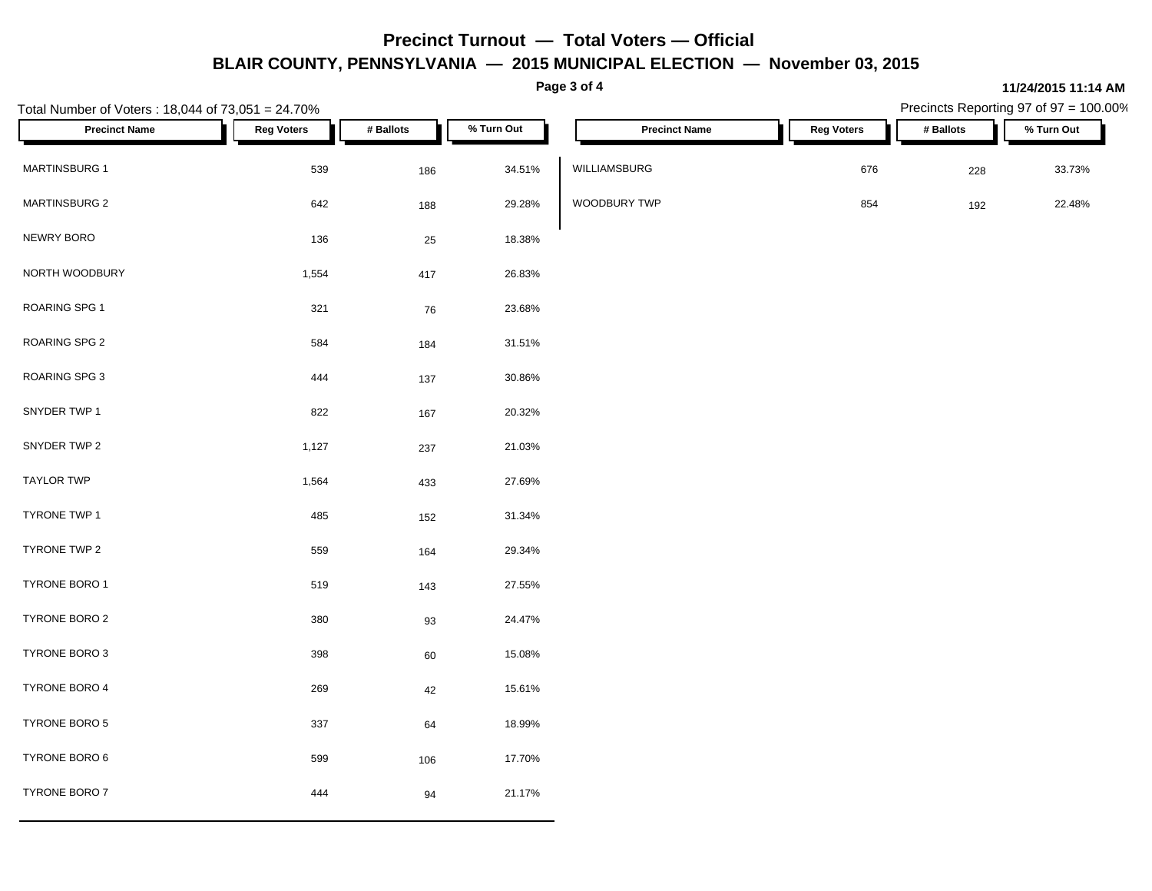**Page 3 of 4**

**11/24/2015 11:14 AM**

| Total Number of Voters: 18,044 of 73,051 = 24.70% |                   |           |            |                      |                   | Precincts Reporting 97 of 97 = 100.00% |            |  |  |
|---------------------------------------------------|-------------------|-----------|------------|----------------------|-------------------|----------------------------------------|------------|--|--|
| <b>Precinct Name</b>                              | <b>Reg Voters</b> | # Ballots | % Turn Out | <b>Precinct Name</b> | <b>Reg Voters</b> | # Ballots                              | % Turn Out |  |  |
| <b>MARTINSBURG 1</b>                              | 539               | 186       | 34.51%     | WILLIAMSBURG         | 676               | 228                                    | 33.73%     |  |  |
| MARTINSBURG 2                                     | 642               | 188       | 29.28%     | WOODBURY TWP         | 854               | 192                                    | 22.48%     |  |  |
| NEWRY BORO                                        | 136               | 25        | 18.38%     |                      |                   |                                        |            |  |  |
| NORTH WOODBURY                                    | 1,554             | 417       | 26.83%     |                      |                   |                                        |            |  |  |
| ROARING SPG 1                                     | 321               | 76        | 23.68%     |                      |                   |                                        |            |  |  |
| ROARING SPG 2                                     | 584               | 184       | 31.51%     |                      |                   |                                        |            |  |  |
| ROARING SPG 3                                     | 444               | 137       | 30.86%     |                      |                   |                                        |            |  |  |
| SNYDER TWP 1                                      | 822               | 167       | 20.32%     |                      |                   |                                        |            |  |  |
| SNYDER TWP 2                                      | 1,127             | 237       | 21.03%     |                      |                   |                                        |            |  |  |
| <b>TAYLOR TWP</b>                                 | 1,564             | 433       | 27.69%     |                      |                   |                                        |            |  |  |
| TYRONE TWP 1                                      | 485               | 152       | 31.34%     |                      |                   |                                        |            |  |  |
| TYRONE TWP 2                                      | 559               | 164       | 29.34%     |                      |                   |                                        |            |  |  |
| TYRONE BORO 1                                     | 519               | 143       | 27.55%     |                      |                   |                                        |            |  |  |
| TYRONE BORO 2                                     | 380               | $93\,$    | 24.47%     |                      |                   |                                        |            |  |  |
| TYRONE BORO 3                                     | 398               | 60        | 15.08%     |                      |                   |                                        |            |  |  |
| TYRONE BORO 4                                     | 269               | 42        | 15.61%     |                      |                   |                                        |            |  |  |
| TYRONE BORO 5                                     | 337               | 64        | 18.99%     |                      |                   |                                        |            |  |  |
| TYRONE BORO 6                                     | 599               | 106       | 17.70%     |                      |                   |                                        |            |  |  |
| TYRONE BORO 7                                     | 444               | 94        | 21.17%     |                      |                   |                                        |            |  |  |